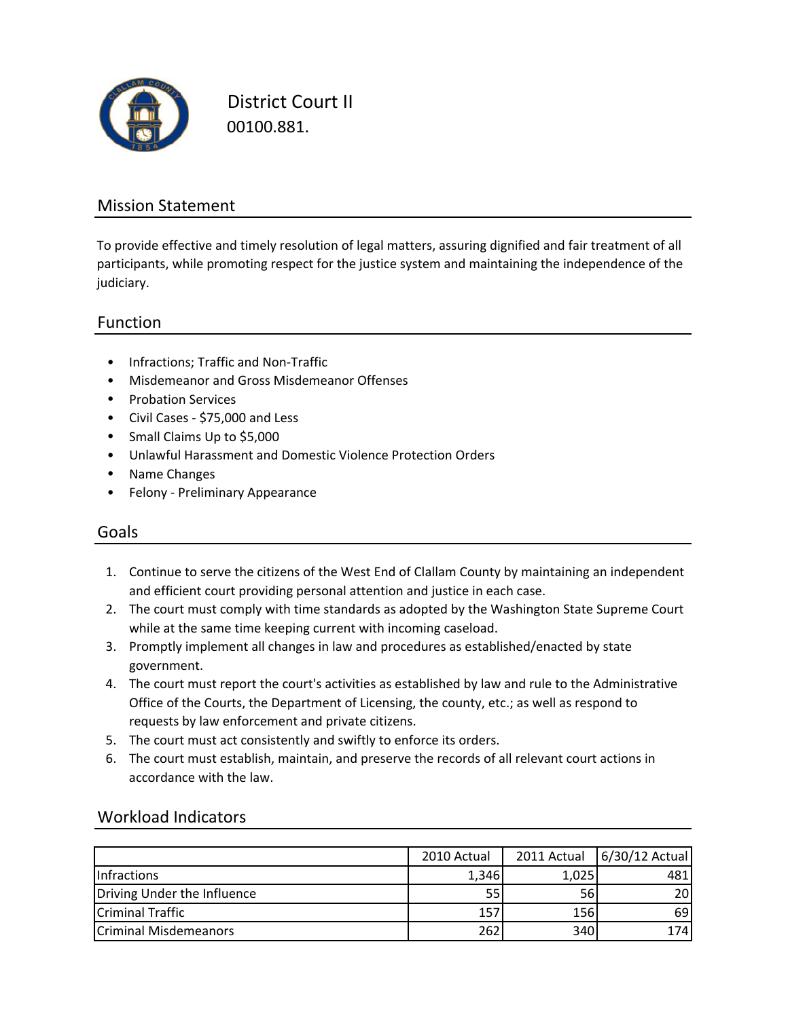

District Court II 00100.881.

### Mission Statement

To provide effective and timely resolution of legal matters, assuring dignified and fair treatment of all participants, while promoting respect for the justice system and maintaining the independence of the judiciary.

### Function

- Infractions; Traffic and Non‐Traffic
- Misdemeanor and Gross Misdemeanor Offenses
- Probation Services
- Civil Cases ‐ \$75,000 and Less
- Small Claims Up to \$5,000
- Unlawful Harassment and Domestic Violence Protection Orders
- Name Changes
- Felony ‐ Preliminary Appearance

### Goals

- 1. Continue to serve the citizens of the West End of Clallam County by maintaining an independent and efficient court providing personal attention and justice in each case.
- 2. The court must comply with time standards as adopted by the Washington State Supreme Court while at the same time keeping current with incoming caseload.
- 3. Promptly implement all changes in law and procedures as established/enacted by state government.
- 4. The court must report the court's activities as established by law and rule to the Administrative Office of the Courts, the Department of Licensing, the county, etc.; as well as respond to requests by law enforcement and private citizens.
- 5. The court must act consistently and swiftly to enforce its orders.
- 6. The court must establish, maintain, and preserve the records of all relevant court actions in accordance with the law.

|                              | 2010 Actual | 2011 Actual | 6/30/12 Actual |
|------------------------------|-------------|-------------|----------------|
| <b>Infractions</b>           | 1,346       | 1,025       | 481            |
| Driving Under the Influence  | 55          | 56          | 20             |
| Criminal Traffic             | 157         | 156         | 69             |
| <b>Criminal Misdemeanors</b> | 262         | 340         | 174            |
|                              |             |             |                |

### Workload Indicators